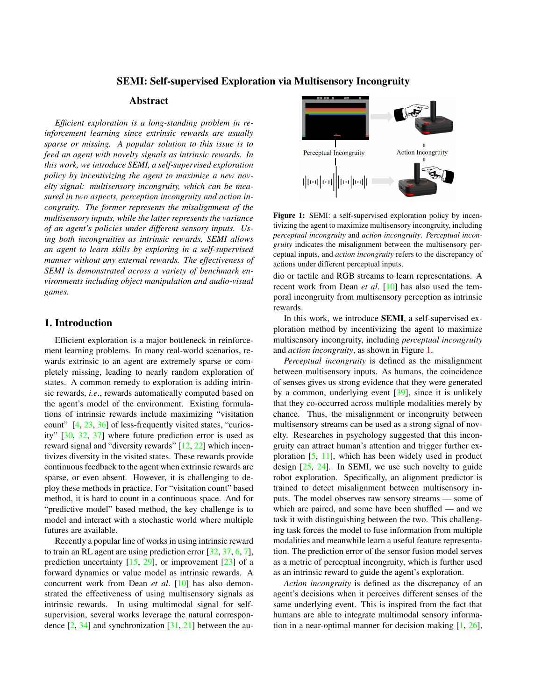#### SEMI: Self-supervised Exploration via Multisensory Incongruity

# Abstract

<span id="page-0-1"></span>*Efficient exploration is a long-standing problem in reinforcement learning since extrinsic rewards are usually sparse or missing. A popular solution to this issue is to feed an agent with novelty signals as intrinsic rewards. In this work, we introduce SEMI, a self-supervised exploration policy by incentivizing the agent to maximize a new novelty signal: multisensory incongruity, which can be measured in two aspects, perception incongruity and action incongruity. The former represents the misalignment of the multisensory inputs, while the latter represents the variance of an agent's policies under different sensory inputs. Using both incongruities as intrinsic rewards, SEMI allows an agent to learn skills by exploring in a self-supervised manner without any external rewards. The effectiveness of SEMI is demonstrated across a variety of benchmark environments including object manipulation and audio-visual games.*

# 1. Introduction

Efficient exploration is a major bottleneck in reinforcement learning problems. In many real-world scenarios, rewards extrinsic to an agent are extremely sparse or completely missing, leading to nearly random exploration of states. A common remedy to exploration is adding intrinsic rewards, *i.e*., rewards automatically computed based on the agent's model of the environment. Existing formulations of intrinsic rewards include maximizing "visitation count" [\[4,](#page-4-0) [23,](#page-4-1) [36\]](#page-5-0) of less-frequently visited states, "curiosity" [\[30,](#page-4-2) [32,](#page-4-3) [37\]](#page-5-1) where future prediction error is used as reward signal and "diversity rewards" [\[12,](#page-4-4) [22\]](#page-4-5) which incentivizes diversity in the visited states. These rewards provide continuous feedback to the agent when extrinsic rewards are sparse, or even absent. However, it is challenging to deploy these methods in practice. For "visitation count" based method, it is hard to count in a continuous space. And for "predictive model" based method, the key challenge is to model and interact with a stochastic world where multiple futures are available.

Recently a popular line of works in using intrinsic reward to train an RL agent are using prediction error [\[32,](#page-4-3) [37,](#page-5-1) [6,](#page-4-6) [7\]](#page-4-7), prediction uncertainty  $[15, 29]$  $[15, 29]$  $[15, 29]$ , or improvement  $[23]$  of a forward dynamics or value model as intrinsic rewards. A concurrent work from Dean *et al*. [\[10\]](#page-4-10) has also demonstrated the effectiveness of using multisensory signals as intrinsic rewards. In using multimodal signal for selfsupervision, several works leverage the natural correspondence  $[2, 34]$  $[2, 34]$  $[2, 34]$  and synchronization  $[31, 21]$  $[31, 21]$  $[31, 21]$  between the au-

<span id="page-0-0"></span>

Figure 1: SEMI: a self-supervised exploration policy by incentivizing the agent to maximize multisensory incongruity, including *perceptual incongruity* and *action incongruity*. *Perceptual incongruity* indicates the misalignment between the multisensory perceptual inputs, and *action incongruity* refers to the discrepancy of actions under different perceptual inputs.

dio or tactile and RGB streams to learn representations. A recent work from Dean *et al*. [\[10\]](#page-4-10) has also used the temporal incongruity from multisensory perception as intrinsic rewards.

In this work, we introduce SEMI, a self-supervised exploration method by incentivizing the agent to maximize multisensory incongruity, including *perceptual incongruity* and *action incongruity*, as shown in Figure [1.](#page-0-0)

*Perceptual incongruity* is defined as the misalignment between multisensory inputs. As humans, the coincidence of senses gives us strong evidence that they were generated by a common, underlying event [\[39\]](#page-5-3), since it is unlikely that they co-occurred across multiple modalities merely by chance. Thus, the misalignment or incongruity between multisensory streams can be used as a strong signal of novelty. Researches in psychology suggested that this incongruity can attract human's attention and trigger further exploration [\[5,](#page-4-14) [11\]](#page-4-15), which has been widely used in product design [\[25,](#page-4-16) [24\]](#page-4-17). In SEMI, we use such novelty to guide robot exploration. Specifically, an alignment predictor is trained to detect misalignment between multisensory inputs. The model observes raw sensory streams — some of which are paired, and some have been shuffled — and we task it with distinguishing between the two. This challenging task forces the model to fuse information from multiple modalities and meanwhile learn a useful feature representation. The prediction error of the sensor fusion model serves as a metric of perceptual incongruity, which is further used as an intrinsic reward to guide the agent's exploration.

*Action incongruity* is defined as the discrepancy of an agent's decisions when it perceives different senses of the same underlying event. This is inspired from the fact that humans are able to integrate multimodal sensory information in a near-optimal manner for decision making [\[1,](#page-4-18) [26\]](#page-4-19),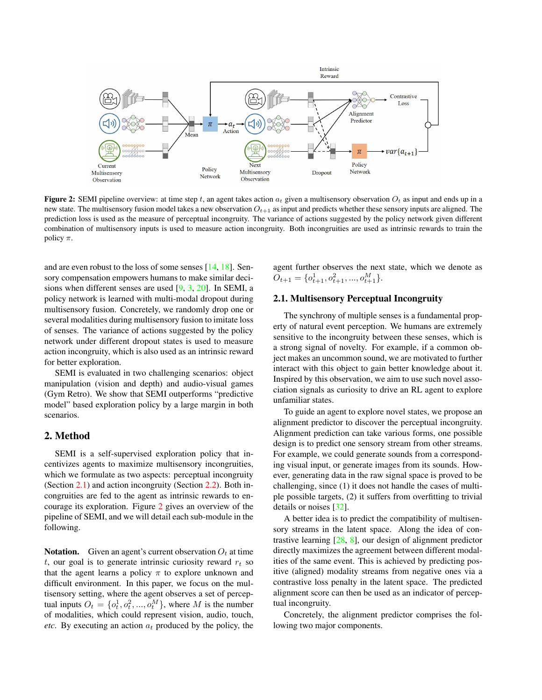<span id="page-1-2"></span><span id="page-1-1"></span>

**Figure 2:** SEMI pipeline overview: at time step t, an agent takes action  $a_t$  given a multisensory observation  $O_t$  as input and ends up in a new state. The multisensory fusion model takes a new observation  $O_{t+1}$  as input and predicts whether these sensory inputs are aligned. The prediction loss is used as the measure of perceptual incongruity. The variance of actions suggested by the policy network given different combination of multisensory inputs is used to measure action incongruity. Both incongruities are used as intrinsic rewards to train the policy  $\pi$ .

and are even robust to the loss of some senses [\[14,](#page-4-20) [18\]](#page-4-21). Sensory compensation empowers humans to make similar decisions when different senses are used [\[9,](#page-4-22) [3,](#page-4-23) [20\]](#page-4-24). In SEMI, a policy network is learned with multi-modal dropout during multisensory fusion. Concretely, we randomly drop one or several modalities during multisensory fusion to imitate loss of senses. The variance of actions suggested by the policy network under different dropout states is used to measure action incongruity, which is also used as an intrinsic reward for better exploration.

SEMI is evaluated in two challenging scenarios: object manipulation (vision and depth) and audio-visual games (Gym Retro). We show that SEMI outperforms "predictive model" based exploration policy by a large margin in both scenarios.

### 2. Method

SEMI is a self-supervised exploration policy that incentivizes agents to maximize multisensory incongruities, which we formulate as two aspects: perceptual incongruity (Section [2.1\)](#page-1-0) and action incongruity (Section [2.2\)](#page-2-0). Both incongruities are fed to the agent as intrinsic rewards to encourage its exploration. Figure [2](#page-1-1) gives an overview of the pipeline of SEMI, and we will detail each sub-module in the following.

**Notation.** Given an agent's current observation  $O_t$  at time t, our goal is to generate intrinsic curiosity reward  $r_t$  so that the agent learns a policy  $\pi$  to explore unknown and difficult environment. In this paper, we focus on the multisensory setting, where the agent observes a set of perceptual inputs  $O_t = \{o_t^1, o_t^2, ..., o_t^M\}$ , where M is the number of modalities, which could represent vision, audio, touch, *etc.* By executing an action  $a_t$  produced by the policy, the agent further observes the next state, which we denote as  $O_{t+1} = \{o_{t+1}^1, o_{t+1}^2, ..., o_{t+1}^M\}.$ 

## <span id="page-1-0"></span>2.1. Multisensory Perceptual Incongruity

The synchrony of multiple senses is a fundamental property of natural event perception. We humans are extremely sensitive to the incongruity between these senses, which is a strong signal of novelty. For example, if a common object makes an uncommon sound, we are motivated to further interact with this object to gain better knowledge about it. Inspired by this observation, we aim to use such novel association signals as curiosity to drive an RL agent to explore unfamiliar states.

To guide an agent to explore novel states, we propose an alignment predictor to discover the perceptual incongruity. Alignment prediction can take various forms, one possible design is to predict one sensory stream from other streams. For example, we could generate sounds from a corresponding visual input, or generate images from its sounds. However, generating data in the raw signal space is proved to be challenging, since (1) it does not handle the cases of multiple possible targets, (2) it suffers from overfitting to trivial details or noises [\[32\]](#page-4-3).

A better idea is to predict the compatibility of multisensory streams in the latent space. Along the idea of contrastive learning [\[28,](#page-4-25) [8\]](#page-4-26), our design of alignment predictor directly maximizes the agreement between different modalities of the same event. This is achieved by predicting positive (aligned) modality streams from negative ones via a contrastive loss penalty in the latent space. The predicted alignment score can then be used as an indicator of perceptual incongruity.

Concretely, the alignment predictor comprises the following two major components.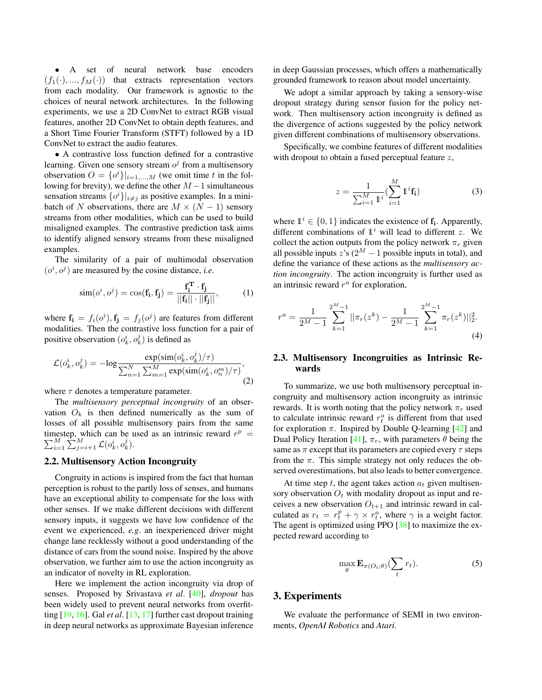<span id="page-2-1"></span>• A set of neural network base encoders  $(f_1(\cdot), ..., f_M(\cdot))$  that extracts representation vectors from each modality. Our framework is agnostic to the choices of neural network architectures. In the following experiments, we use a 2D ConvNet to extract RGB visual features, another 2D ConvNet to obtain depth features, and a Short Time Fourier Transform (STFT) followed by a 1D ConvNet to extract the audio features.

• A contrastive loss function defined for a contrastive learning. Given one sensory stream  $o<sup>j</sup>$  from a multisensory observation  $O = \{o^i\}\vert_{i=1,\dots,M}$  (we omit time t in the following for brevity), we define the other  $M-1$  simultaneous sensation streams  $\{o^i\}\vert_{i\neq j}$  as positive examples. In a minibatch of N observations, there are  $M \times (N-1)$  sensory streams from other modalities, which can be used to build misaligned examples. The contrastive prediction task aims to identify aligned sensory streams from these misaligned examples.

The similarity of a pair of multimodal observation  $(o<sup>i</sup>, o<sup>j</sup>)$  are measured by the cosine distance, *i.e.* 

$$
\text{sim}(o^i, o^j) = \cos(\mathbf{f_i}, \mathbf{f_j}) = \frac{\mathbf{f_i^T} \cdot \mathbf{f_j}}{||\mathbf{f_i}|| \cdot ||\mathbf{f_j}||},\tag{1}
$$

where  $\mathbf{f_i} = f_i(o^i), \mathbf{f_j} = f_j(o^j)$  are features from different modalities. Then the contrastive loss function for a pair of positive observation  $(o_k^i, o_k^j)$  is defined as

$$
\mathcal{L}(o_k^i, o_k^j) = -\log \frac{\exp(\operatorname{sim}(o_k^i, o_k^j)/\tau)}{\sum_{n=1}^N \sum_{m=1}^M \exp(\operatorname{sim}(o_k^i, o_n^m)/\tau)},\tag{2}
$$

where  $\tau$  denotes a temperature parameter.

The *multisensory perceptual incongruity* of an observation  $O_k$  is then defined numerically as the sum of losses of all possible multisensory pairs from the same timestep, which can be used as an intrinsic reward  $r$ P nestep, which can be used as an intrinsic reward  $r^p = M \sum_{i=1}^{M} c(i \cdot \vec{r})$  $_{i=1}^M \sum_{j=i+1}^M \mathcal{L}(o_k^i, o_k^j).$ 

## <span id="page-2-0"></span>2.2. Multisensory Action Incongruity

Congruity in actions is inspired from the fact that human perception is robust to the partly loss of senses, and humans have an exceptional ability to compensate for the loss with other senses. If we make different decisions with different sensory inputs, it suggests we have low confidence of the event we experienced, *e.g*. an inexperienced driver might change lane recklessly without a good understanding of the distance of cars from the sound noise. Inspired by the above observation, we further aim to use the action incongruity as an indicator of novelty in RL exploration.

Here we implement the action incongruity via drop of senses. Proposed by Srivastava *et al*. [\[40\]](#page-5-4), *dropout* has been widely used to prevent neural networks from overfitting [\[19,](#page-4-27) [16\]](#page-4-28). Gal *et al*. [\[13,](#page-4-29) [17\]](#page-4-30) further cast dropout training in deep neural networks as approximate Bayesian inference

in deep Gaussian processes, which offers a mathematically grounded framework to reason about model uncertainty.

We adopt a similar approach by taking a sensory-wise dropout strategy during sensor fusion for the policy network. Then multisensory action incongruity is defined as the divergence of actions suggested by the policy network given different combinations of multisensory observations.

Specifically, we combine features of different modalities with dropout to obtain a fused perceptual feature  $z$ ,

$$
z = \frac{1}{\sum_{i=1}^{M} 1^{i}} (\sum_{i=1}^{M} 1^{i} \mathbf{f}_{i})
$$
 (3)

where  $\mathbb{1}^i \in \{0, 1\}$  indicates the existence of  $f_i$ . Apparently, different combinations of  $\mathbb{1}^i$  will lead to different z. We collect the action outputs from the policy network  $\pi_r$  given all possible inputs z's  $(2^M - 1)$  possible inputs in total), and define the variance of these actions as the *multisensory action incongruity*. The action incongruity is further used as an intrinsic reward  $r^a$  for exploration,

$$
r^{a} = \frac{1}{2^{M}-1} \sum_{k=1}^{2^{M}-1} ||\pi_{r}(z^{k}) - \frac{1}{2^{M}-1} \sum_{k=1}^{2^{M}-1} \pi_{r}(z^{k})||_{2}^{2}.
$$
\n(4)

### 2.3. Multisensory Incongruities as Intrinsic Rewards

To summarize, we use both multisensory perceptual incongruity and multisensory action incongruity as intrinsic rewards. It is worth noting that the policy network  $\pi_r$  used to calculate intrinsic reward  $r_t^a$  is different from that used for exploration  $\pi$ . Inspired by Double Q-learning [\[42\]](#page-5-5) and Dual Policy Iteration [\[41\]](#page-5-6),  $\pi_r$ , with parameters  $\theta$  being the same as  $\pi$  except that its parameters are copied every  $\tau$  steps from the  $\pi$ . This simple strategy not only reduces the observed overestimations, but also leads to better convergence.

At time step t, the agent takes action  $a_t$  given multisensory observation  $O_t$  with modality dropout as input and receives a new observation  $O_{t+1}$  and intrinsic reward in calculated as  $r_t = r_t^p + \gamma \times r_t^a$ , where  $\gamma$  is a weight factor. The agent is optimized using PPO [\[38\]](#page-5-7) to maximize the expected reward according to

$$
\max_{\theta} \mathbf{E}_{\pi(O_t; \theta)}(\sum_t r_t). \tag{5}
$$

#### 3. Experiments

We evaluate the performance of SEMI in two environments, *OpenAI Robotics* and *Atari*.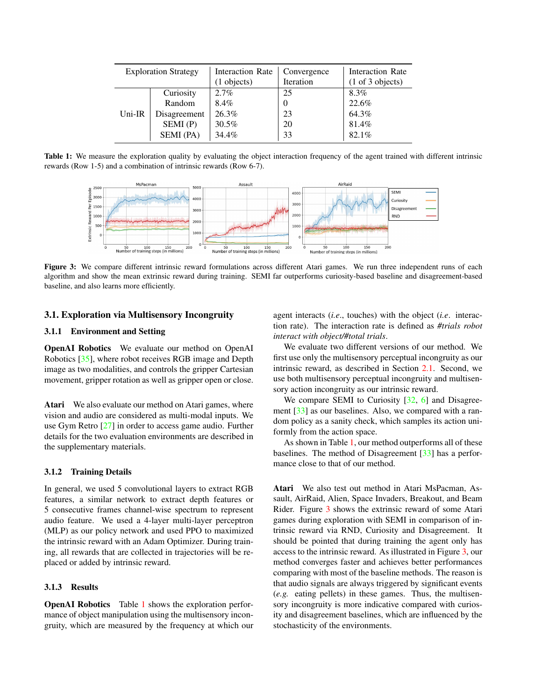<span id="page-3-2"></span><span id="page-3-0"></span>

| <b>Exploration Strategy</b> |              | <b>Interaction Rate</b> | Convergence | Interaction Rate                    |
|-----------------------------|--------------|-------------------------|-------------|-------------------------------------|
|                             |              | (1 objects)             | Iteration   | $(1 \text{ of } 3 \text{ objects})$ |
| Uni-IR                      | Curiosity    | 2.7%                    | 25          | 8.3%                                |
|                             | Random       | 8.4%                    | $\theta$    | 22.6%                               |
|                             | Disagreement | 26.3%                   | 23          | 64.3%                               |
|                             | SEM(P)       | 30.5%                   | 20          | 81.4%                               |
|                             | SEMI (PA)    | 34.4%                   | 33          | 82.1%                               |

<span id="page-3-1"></span>Table 1: We measure the exploration quality by evaluating the object interaction frequency of the agent trained with different intrinsic rewards (Row 1-5) and a combination of intrinsic rewards (Row 6-7).



Figure 3: We compare different intrinsic reward formulations across different Atari games. We run three independent runs of each algorithm and show the mean extrinsic reward during training. SEMI far outperforms curiosity-based baseline and disagreement-based baseline, and also learns more efficiently.

## 3.1. Exploration via Multisensory Incongruity

#### 3.1.1 Environment and Setting

OpenAI Robotics We evaluate our method on OpenAI Robotics [\[35\]](#page-5-8), where robot receives RGB image and Depth image as two modalities, and controls the gripper Cartesian movement, gripper rotation as well as gripper open or close.

Atari We also evaluate our method on Atari games, where vision and audio are considered as multi-modal inputs. We use Gym Retro [\[27\]](#page-4-31) in order to access game audio. Further details for the two evaluation environments are described in the supplementary materials.

#### 3.1.2 Training Details

In general, we used 5 convolutional layers to extract RGB features, a similar network to extract depth features or 5 consecutive frames channel-wise spectrum to represent audio feature. We used a 4-layer multi-layer perceptron (MLP) as our policy network and used PPO to maximized the intrinsic reward with an Adam Optimizer. During training, all rewards that are collected in trajectories will be replaced or added by intrinsic reward.

#### 3.1.3 Results

OpenAI Robotics Table [1](#page-3-0) shows the exploration performance of object manipulation using the multisensory incongruity, which are measured by the frequency at which our agent interacts (*i.e*., touches) with the object (*i.e*. interaction rate). The interaction rate is defined as *#trials robot interact with object/#total trials*.

We evaluate two different versions of our method. We first use only the multisensory perceptual incongruity as our intrinsic reward, as described in Section [2.1.](#page-1-0) Second, we use both multisensory perceptual incongruity and multisensory action incongruity as our intrinsic reward.

We compare SEMI to Curiosity  $[32, 6]$  $[32, 6]$  $[32, 6]$  and Disagree-ment [\[33\]](#page-5-9) as our baselines. Also, we compared with a random policy as a sanity check, which samples its action uniformly from the action space.

As shown in Table [1,](#page-3-0) our method outperforms all of these baselines. The method of Disagreement [\[33\]](#page-5-9) has a performance close to that of our method.

Atari We also test out method in Atari MsPacman, Assault, AirRaid, Alien, Space Invaders, Breakout, and Beam Rider. Figure [3](#page-3-1) shows the extrinsic reward of some Atari games during exploration with SEMI in comparison of intrinsic reward via RND, Curiosity and Disagreement. It should be pointed that during training the agent only has access to the intrinsic reward. As illustrated in Figure [3,](#page-3-1) our method converges faster and achieves better performances comparing with most of the baseline methods. The reason is that audio signals are always triggered by significant events (*e.g.* eating pellets) in these games. Thus, the multisensory incongruity is more indicative compared with curiosity and disagreement baselines, which are influenced by the stochasticity of the environments.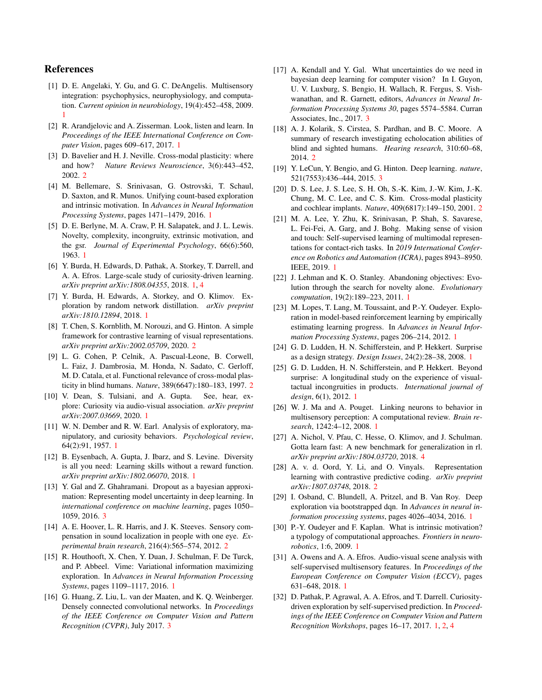# References

- <span id="page-4-18"></span>[1] D. E. Angelaki, Y. Gu, and G. C. DeAngelis. Multisensory integration: psychophysics, neurophysiology, and computation. *Current opinion in neurobiology*, 19(4):452–458, 2009. [1](#page-0-1)
- <span id="page-4-11"></span>[2] R. Arandjelovic and A. Zisserman. Look, listen and learn. In *Proceedings of the IEEE International Conference on Computer Vision*, pages 609–617, 2017. [1](#page-0-1)
- <span id="page-4-23"></span>[3] D. Bavelier and H. J. Neville. Cross-modal plasticity: where and how? *Nature Reviews Neuroscience*, 3(6):443–452, 2002. [2](#page-1-2)
- <span id="page-4-0"></span>[4] M. Bellemare, S. Srinivasan, G. Ostrovski, T. Schaul, D. Saxton, and R. Munos. Unifying count-based exploration and intrinsic motivation. In *Advances in Neural Information Processing Systems*, pages 1471–1479, 2016. [1](#page-0-1)
- <span id="page-4-14"></span>[5] D. E. Berlyne, M. A. Craw, P. H. Salapatek, and J. L. Lewis. Novelty, complexity, incongruity, extrinsic motivation, and the gsr. *Journal of Experimental Psychology*, 66(6):560, 1963. [1](#page-0-1)
- <span id="page-4-6"></span>[6] Y. Burda, H. Edwards, D. Pathak, A. Storkey, T. Darrell, and A. A. Efros. Large-scale study of curiosity-driven learning. *arXiv preprint arXiv:1808.04355*, 2018. [1,](#page-0-1) [4](#page-3-2)
- <span id="page-4-7"></span>[7] Y. Burda, H. Edwards, A. Storkey, and O. Klimov. Exploration by random network distillation. *arXiv preprint arXiv:1810.12894*, 2018. [1](#page-0-1)
- <span id="page-4-26"></span>[8] T. Chen, S. Kornblith, M. Norouzi, and G. Hinton. A simple framework for contrastive learning of visual representations. *arXiv preprint arXiv:2002.05709*, 2020. [2](#page-1-2)
- <span id="page-4-22"></span>[9] L. G. Cohen, P. Celnik, A. Pascual-Leone, B. Corwell, L. Faiz, J. Dambrosia, M. Honda, N. Sadato, C. Gerloff, M. D. Catala, et al. Functional relevance of cross-modal plasticity in blind humans. *Nature*, 389(6647):180–183, 1997. [2](#page-1-2)
- <span id="page-4-10"></span>[10] V. Dean, S. Tulsiani, and A. Gupta. See, hear, explore: Curiosity via audio-visual association. *arXiv preprint arXiv:2007.03669*, 2020. [1](#page-0-1)
- <span id="page-4-15"></span>[11] W. N. Dember and R. W. Earl. Analysis of exploratory, manipulatory, and curiosity behaviors. *Psychological review*, 64(2):91, 1957. [1](#page-0-1)
- <span id="page-4-4"></span>[12] B. Eysenbach, A. Gupta, J. Ibarz, and S. Levine. Diversity is all you need: Learning skills without a reward function. *arXiv preprint arXiv:1802.06070*, 2018. [1](#page-0-1)
- <span id="page-4-29"></span>[13] Y. Gal and Z. Ghahramani. Dropout as a bayesian approximation: Representing model uncertainty in deep learning. In *international conference on machine learning*, pages 1050– 1059, 2016. [3](#page-2-1)
- <span id="page-4-20"></span>[14] A. E. Hoover, L. R. Harris, and J. K. Steeves. Sensory compensation in sound localization in people with one eye. *Experimental brain research*, 216(4):565–574, 2012. [2](#page-1-2)
- <span id="page-4-8"></span>[15] R. Houthooft, X. Chen, Y. Duan, J. Schulman, F. De Turck, and P. Abbeel. Vime: Variational information maximizing exploration. In *Advances in Neural Information Processing Systems*, pages 1109–1117, 2016. [1](#page-0-1)
- <span id="page-4-28"></span>[16] G. Huang, Z. Liu, L. van der Maaten, and K. Q. Weinberger. Densely connected convolutional networks. In *Proceedings of the IEEE Conference on Computer Vision and Pattern Recognition (CVPR)*, July 2017. [3](#page-2-1)
- <span id="page-4-30"></span>[17] A. Kendall and Y. Gal. What uncertainties do we need in bayesian deep learning for computer vision? In I. Guyon, U. V. Luxburg, S. Bengio, H. Wallach, R. Fergus, S. Vishwanathan, and R. Garnett, editors, *Advances in Neural Information Processing Systems 30*, pages 5574–5584. Curran Associates, Inc., 2017. [3](#page-2-1)
- <span id="page-4-21"></span>[18] A. J. Kolarik, S. Cirstea, S. Pardhan, and B. C. Moore. A summary of research investigating echolocation abilities of blind and sighted humans. *Hearing research*, 310:60–68, 2014. [2](#page-1-2)
- <span id="page-4-27"></span>[19] Y. LeCun, Y. Bengio, and G. Hinton. Deep learning. *nature*, 521(7553):436–444, 2015. [3](#page-2-1)
- <span id="page-4-24"></span>[20] D. S. Lee, J. S. Lee, S. H. Oh, S.-K. Kim, J.-W. Kim, J.-K. Chung, M. C. Lee, and C. S. Kim. Cross-modal plasticity and cochlear implants. *Nature*, 409(6817):149–150, 2001. [2](#page-1-2)
- <span id="page-4-13"></span>[21] M. A. Lee, Y. Zhu, K. Srinivasan, P. Shah, S. Savarese, L. Fei-Fei, A. Garg, and J. Bohg. Making sense of vision and touch: Self-supervised learning of multimodal representations for contact-rich tasks. In *2019 International Conference on Robotics and Automation (ICRA)*, pages 8943–8950. IEEE, 2019. [1](#page-0-1)
- <span id="page-4-5"></span>[22] J. Lehman and K. O. Stanley. Abandoning objectives: Evolution through the search for novelty alone. *Evolutionary computation*, 19(2):189–223, 2011. [1](#page-0-1)
- <span id="page-4-1"></span>[23] M. Lopes, T. Lang, M. Toussaint, and P.-Y. Oudeyer. Exploration in model-based reinforcement learning by empirically estimating learning progress. In *Advances in Neural Information Processing Systems*, pages 206–214, 2012. [1](#page-0-1)
- <span id="page-4-17"></span>[24] G. D. Ludden, H. N. Schifferstein, and P. Hekkert. Surprise as a design strategy. *Design Issues*, 24(2):28–38, 2008. [1](#page-0-1)
- <span id="page-4-16"></span>[25] G. D. Ludden, H. N. Schifferstein, and P. Hekkert. Beyond surprise: A longitudinal study on the experience of visualtactual incongruities in products. *International journal of design*, 6(1), 2012. [1](#page-0-1)
- <span id="page-4-19"></span>[26] W. J. Ma and A. Pouget. Linking neurons to behavior in multisensory perception: A computational review. *Brain research*, 1242:4–12, 2008. [1](#page-0-1)
- <span id="page-4-31"></span>[27] A. Nichol, V. Pfau, C. Hesse, O. Klimov, and J. Schulman. Gotta learn fast: A new benchmark for generalization in rl. *arXiv preprint arXiv:1804.03720*, 2018. [4](#page-3-2)
- <span id="page-4-25"></span>[28] A. v. d. Oord, Y. Li, and O. Vinyals. Representation learning with contrastive predictive coding. *arXiv preprint arXiv:1807.03748*, 2018. [2](#page-1-2)
- <span id="page-4-9"></span>[29] I. Osband, C. Blundell, A. Pritzel, and B. Van Roy. Deep exploration via bootstrapped dqn. In *Advances in neural information processing systems*, pages 4026–4034, 2016. [1](#page-0-1)
- <span id="page-4-2"></span>[30] P.-Y. Oudeyer and F. Kaplan. What is intrinsic motivation? a typology of computational approaches. *Frontiers in neurorobotics*, 1:6, 2009. [1](#page-0-1)
- <span id="page-4-12"></span>[31] A. Owens and A. A. Efros. Audio-visual scene analysis with self-supervised multisensory features. In *Proceedings of the European Conference on Computer Vision (ECCV)*, pages 631–648, 2018. [1](#page-0-1)
- <span id="page-4-3"></span>[32] D. Pathak, P. Agrawal, A. A. Efros, and T. Darrell. Curiositydriven exploration by self-supervised prediction. In *Proceedings of the IEEE Conference on Computer Vision and Pattern Recognition Workshops*, pages 16–17, 2017. [1,](#page-0-1) [2,](#page-1-2) [4](#page-3-2)